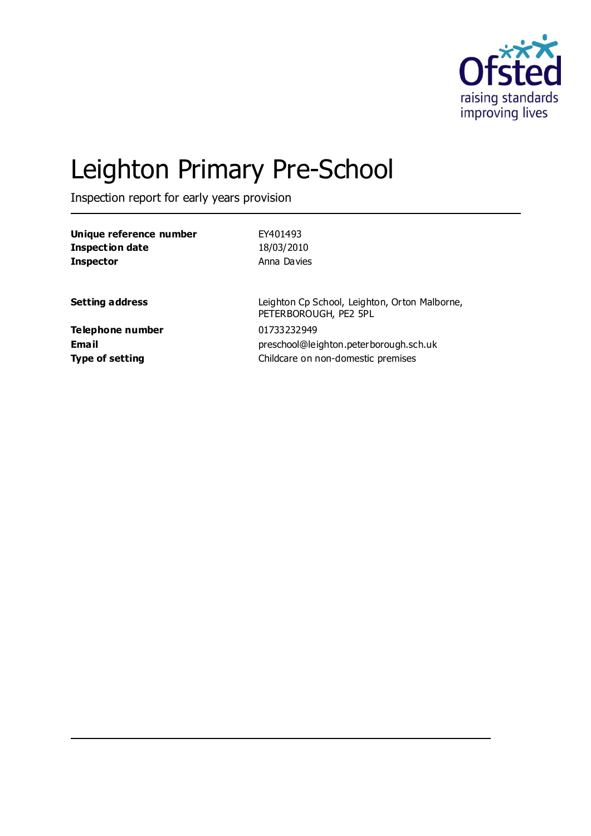

# Leighton Primary Pre-School

Inspection report for early years provision

| Unique reference number | EY401493                                                               |
|-------------------------|------------------------------------------------------------------------|
| <b>Inspection date</b>  | 18/03/2010                                                             |
| <b>Inspector</b>        | Anna Davies                                                            |
| <b>Setting address</b>  | Leighton Cp School, Leighton, Orton Malborne,<br>PETERBOROUGH, PE2 5PL |
| Telephone number        | 01733232949                                                            |
| Email                   | preschool@leighton.peterborough.sch.uk                                 |
| <b>Type of setting</b>  | Childcare on non-domestic premises                                     |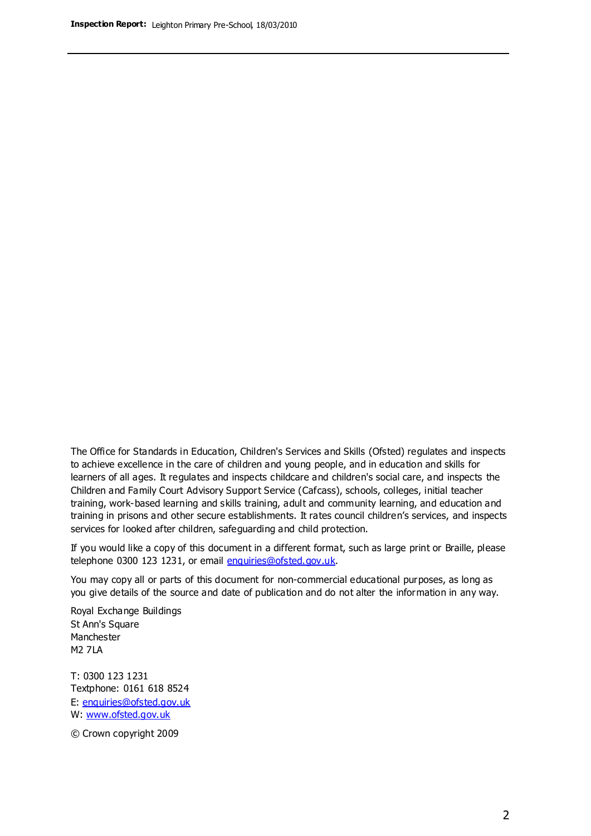The Office for Standards in Education, Children's Services and Skills (Ofsted) regulates and inspects to achieve excellence in the care of children and young people, and in education and skills for learners of all ages. It regulates and inspects childcare and children's social care, and inspects the Children and Family Court Advisory Support Service (Cafcass), schools, colleges, initial teacher training, work-based learning and skills training, adult and community learning, and education and training in prisons and other secure establishments. It rates council children's services, and inspects services for looked after children, safeguarding and child protection.

If you would like a copy of this document in a different format, such as large print or Braille, please telephone 0300 123 1231, or email enquiries@ofsted.gov.uk.

You may copy all or parts of this document for non-commercial educational purposes, as long as you give details of the source and date of publication and do not alter the information in any way.

Royal Exchange Buildings St Ann's Square Manchester M2 7LA

T: 0300 123 1231 Textphone: 0161 618 8524 E: enquiries@ofsted.gov.uk W: [www.ofsted.gov.uk](http://www.ofsted.gov.uk/)

© Crown copyright 2009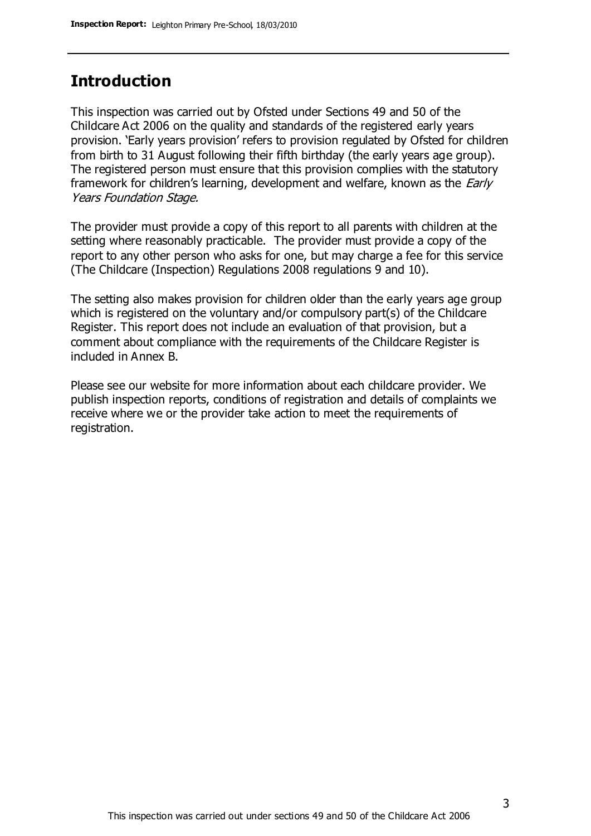# **Introduction**

This inspection was carried out by Ofsted under Sections 49 and 50 of the Childcare Act 2006 on the quality and standards of the registered early years provision. 'Early years provision' refers to provision regulated by Ofsted for children from birth to 31 August following their fifth birthday (the early years age group). The registered person must ensure that this provision complies with the statutory framework for children's learning, development and welfare, known as the *Early* Years Foundation Stage.

The provider must provide a copy of this report to all parents with children at the setting where reasonably practicable. The provider must provide a copy of the report to any other person who asks for one, but may charge a fee for this service (The Childcare (Inspection) Regulations 2008 regulations 9 and 10).

The setting also makes provision for children older than the early years age group which is registered on the voluntary and/or compulsory part(s) of the Childcare Register. This report does not include an evaluation of that provision, but a comment about compliance with the requirements of the Childcare Register is included in Annex B.

Please see our website for more information about each childcare provider. We publish inspection reports, conditions of registration and details of complaints we receive where we or the provider take action to meet the requirements of registration.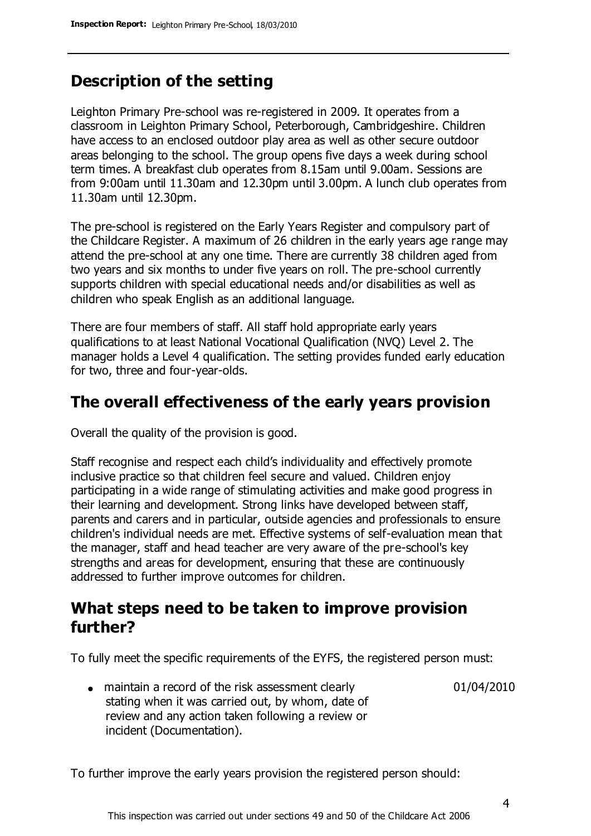## **Description of the setting**

Leighton Primary Pre-school was re-registered in 2009. It operates from a classroom in Leighton Primary School, Peterborough, Cambridgeshire. Children have access to an enclosed outdoor play area as well as other secure outdoor areas belonging to the school. The group opens five days a week during school term times. A breakfast club operates from 8.15am until 9.00am. Sessions are from 9:00am until 11.30am and 12.30pm until 3.00pm. A lunch club operates from 11.30am until 12.30pm.

The pre-school is registered on the Early Years Register and compulsory part of the Childcare Register. A maximum of 26 children in the early years age range may attend the pre-school at any one time. There are currently 38 children aged from two years and six months to under five years on roll. The pre-school currently supports children with special educational needs and/or disabilities as well as children who speak English as an additional language.

There are four members of staff. All staff hold appropriate early years qualifications to at least National Vocational Qualification (NVQ) Level 2. The manager holds a Level 4 qualification. The setting provides funded early education for two, three and four-year-olds.

### **The overall effectiveness of the early years provision**

Overall the quality of the provision is good.

Staff recognise and respect each child's individuality and effectively promote inclusive practice so that children feel secure and valued. Children enjoy participating in a wide range of stimulating activities and make good progress in their learning and development. Strong links have developed between staff, parents and carers and in particular, outside agencies and professionals to ensure children's individual needs are met. Effective systems of self-evaluation mean that the manager, staff and head teacher are very aware of the pre-school's key strengths and areas for development, ensuring that these are continuously addressed to further improve outcomes for children.

## **What steps need to be taken to improve provision further?**

To fully meet the specific requirements of the EYFS, the registered person must:

• maintain a record of the risk assessment clearly stating when it was carried out, by whom, date of review and any action taken following a review or incident (Documentation).

01/04/2010

To further improve the early years provision the registered person should: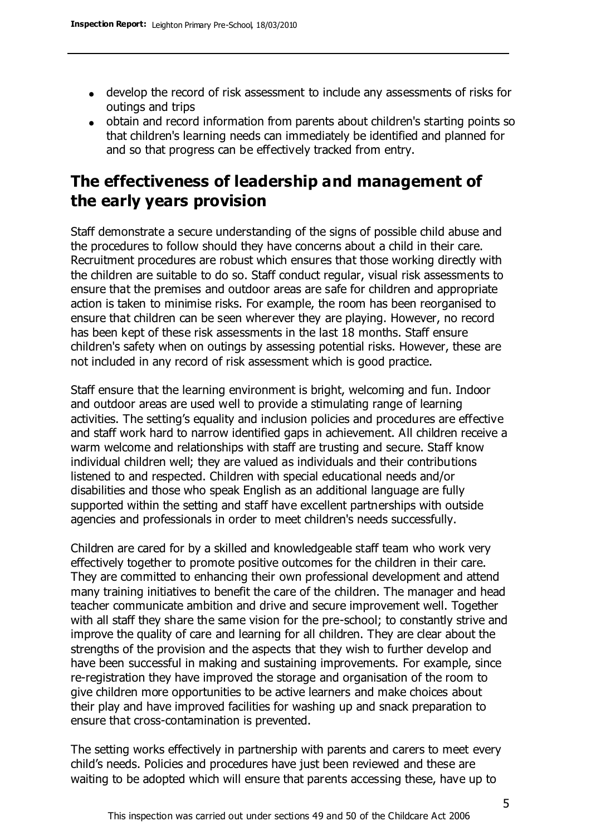- develop the record of risk assessment to include any assessments of risks for outings and trips
- obtain and record information from parents about children's starting points so that children's learning needs can immediately be identified and planned for and so that progress can be effectively tracked from entry.

# **The effectiveness of leadership and management of the early years provision**

Staff demonstrate a secure understanding of the signs of possible child abuse and the procedures to follow should they have concerns about a child in their care. Recruitment procedures are robust which ensures that those working directly with the children are suitable to do so. Staff conduct regular, visual risk assessments to ensure that the premises and outdoor areas are safe for children and appropriate action is taken to minimise risks. For example, the room has been reorganised to ensure that children can be seen wherever they are playing. However, no record has been kept of these risk assessments in the last 18 months. Staff ensure children's safety when on outings by assessing potential risks. However, these are not included in any record of risk assessment which is good practice.

Staff ensure that the learning environment is bright, welcoming and fun. Indoor and outdoor areas are used well to provide a stimulating range of learning activities. The setting's equality and inclusion policies and procedures are effective and staff work hard to narrow identified gaps in achievement. All children receive a warm welcome and relationships with staff are trusting and secure. Staff know individual children well; they are valued as individuals and their contributions listened to and respected. Children with special educational needs and/or disabilities and those who speak English as an additional language are fully supported within the setting and staff have excellent partnerships with outside agencies and professionals in order to meet children's needs successfully.

Children are cared for by a skilled and knowledgeable staff team who work very effectively together to promote positive outcomes for the children in their care. They are committed to enhancing their own professional development and attend many training initiatives to benefit the care of the children. The manager and head teacher communicate ambition and drive and secure improvement well. Together with all staff they share the same vision for the pre-school; to constantly strive and improve the quality of care and learning for all children. They are clear about the strengths of the provision and the aspects that they wish to further develop and have been successful in making and sustaining improvements. For example, since re-registration they have improved the storage and organisation of the room to give children more opportunities to be active learners and make choices about their play and have improved facilities for washing up and snack preparation to ensure that cross-contamination is prevented.

The setting works effectively in partnership with parents and carers to meet every child's needs. Policies and procedures have just been reviewed and these are waiting to be adopted which will ensure that parents accessing these, have up to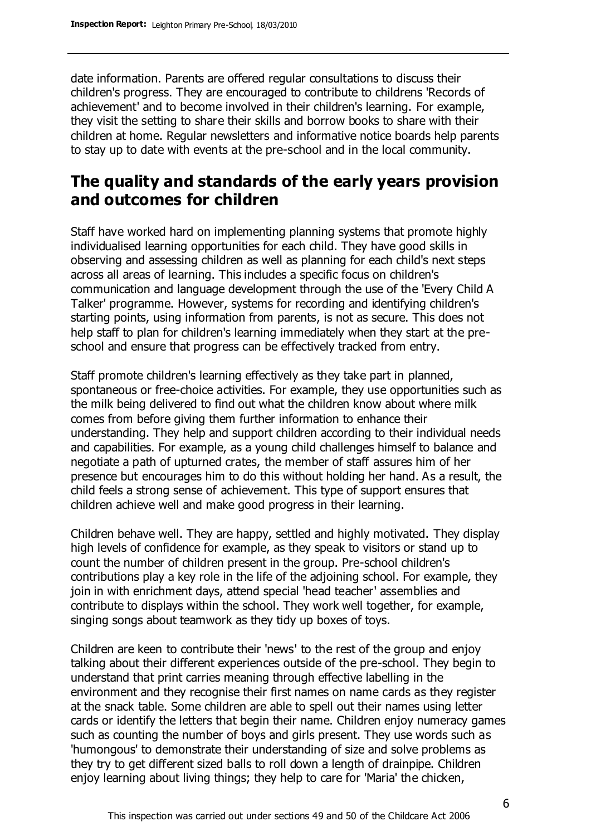date information. Parents are offered regular consultations to discuss their children's progress. They are encouraged to contribute to childrens 'Records of achievement' and to become involved in their children's learning. For example, they visit the setting to share their skills and borrow books to share with their children at home. Regular newsletters and informative notice boards help parents to stay up to date with events at the pre-school and in the local community.

# **The quality and standards of the early years provision and outcomes for children**

Staff have worked hard on implementing planning systems that promote highly individualised learning opportunities for each child. They have good skills in observing and assessing children as well as planning for each child's next steps across all areas of learning. This includes a specific focus on children's communication and language development through the use of the 'Every Child A Talker' programme. However, systems for recording and identifying children's starting points, using information from parents, is not as secure. This does not help staff to plan for children's learning immediately when they start at the preschool and ensure that progress can be effectively tracked from entry.

Staff promote children's learning effectively as they take part in planned, spontaneous or free-choice activities. For example, they use opportunities such as the milk being delivered to find out what the children know about where milk comes from before giving them further information to enhance their understanding. They help and support children according to their individual needs and capabilities. For example, as a young child challenges himself to balance and negotiate a path of upturned crates, the member of staff assures him of her presence but encourages him to do this without holding her hand. As a result, the child feels a strong sense of achievement. This type of support ensures that children achieve well and make good progress in their learning.

Children behave well. They are happy, settled and highly motivated. They display high levels of confidence for example, as they speak to visitors or stand up to count the number of children present in the group. Pre-school children's contributions play a key role in the life of the adjoining school. For example, they join in with enrichment days, attend special 'head teacher' assemblies and contribute to displays within the school. They work well together, for example, singing songs about teamwork as they tidy up boxes of toys.

Children are keen to contribute their 'news' to the rest of the group and enjoy talking about their different experiences outside of the pre-school. They begin to understand that print carries meaning through effective labelling in the environment and they recognise their first names on name cards as they register at the snack table. Some children are able to spell out their names using letter cards or identify the letters that begin their name. Children enjoy numeracy games such as counting the number of boys and girls present. They use words such as 'humongous' to demonstrate their understanding of size and solve problems as they try to get different sized balls to roll down a length of drainpipe. Children enjoy learning about living things; they help to care for 'Maria' the chicken,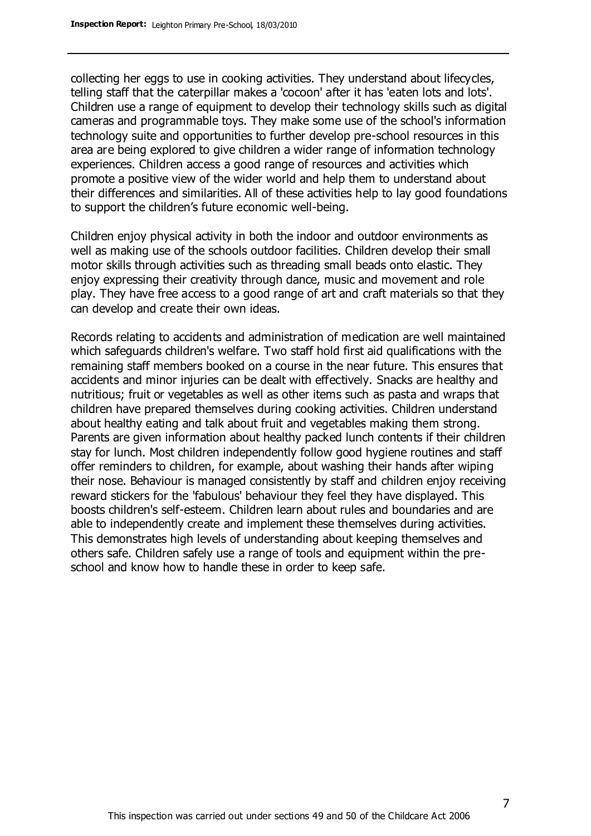collecting her eggs to use in cooking activities. They understand about lifecycles, telling staff that the caterpillar makes a 'cocoon' after it has 'eaten lots and lots'. Children use a range of equipment to develop their technology skills such as digital cameras and programmable toys. They make some use of the school's information technology suite and opportunities to further develop pre-school resources in this area are being explored to give children a wider range of information technology experiences. Children access a good range of resources and activities which promote a positive view of the wider world and help them to understand about their differences and similarities. All of these activities help to lay good foundations to support the children's future economic well-being.

Children enjoy physical activity in both the indoor and outdoor environments as well as making use of the schools outdoor facilities. Children develop their small motor skills through activities such as threading small beads onto elastic. They enjoy expressing their creativity through dance, music and movement and role play. They have free access to a good range of art and craft materials so that they can develop and create their own ideas.

Records relating to accidents and administration of medication are well maintained which safeguards children's welfare. Two staff hold first aid qualifications with the remaining staff members booked on a course in the near future. This ensures that accidents and minor injuries can be dealt with effectively. Snacks are healthy and nutritious; fruit or vegetables as well as other items such as pasta and wraps that children have prepared themselves during cooking activities. Children understand about healthy eating and talk about fruit and vegetables making them strong. Parents are given information about healthy packed lunch contents if their children stay for lunch. Most children independently follow good hygiene routines and staff offer reminders to children, for example, about washing their hands after wiping their nose. Behaviour is managed consistently by staff and children enjoy receiving reward stickers for the 'fabulous' behaviour they feel they have displayed. This boosts children's self-esteem. Children learn about rules and boundaries and are able to independently create and implement these themselves during activities. This demonstrates high levels of understanding about keeping themselves and others safe. Children safely use a range of tools and equipment within the preschool and know how to handle these in order to keep safe.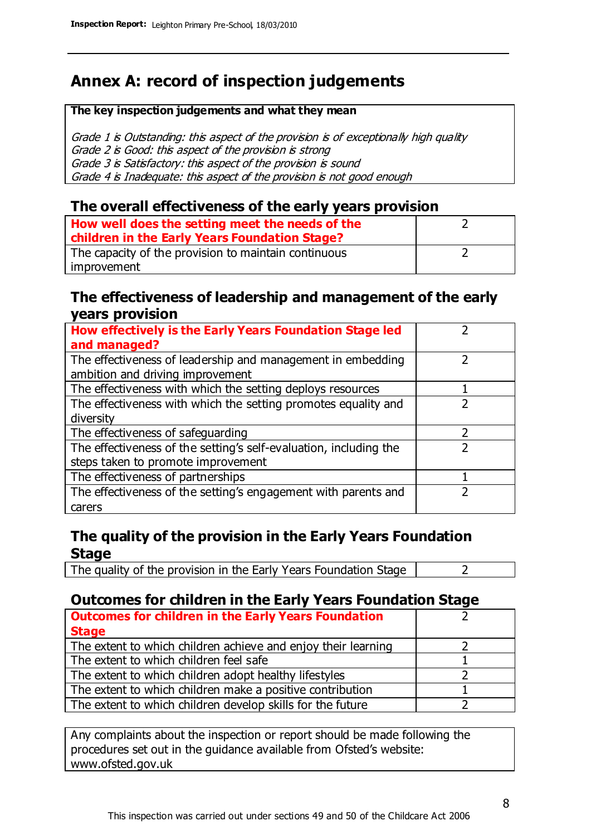# **Annex A: record of inspection judgements**

#### **The key inspection judgements and what they mean**

Grade 1 is Outstanding: this aspect of the provision is of exceptionally high quality Grade 2 is Good: this aspect of the provision is strong Grade 3 is Satisfactory: this aspect of the provision is sound Grade 4 is Inadequate: this aspect of the provision is not good enough

#### **The overall effectiveness of the early years provision**

| How well does the setting meet the needs of the<br>children in the Early Years Foundation Stage? |  |
|--------------------------------------------------------------------------------------------------|--|
| The capacity of the provision to maintain continuous                                             |  |
| improvement                                                                                      |  |

#### **The effectiveness of leadership and management of the early years provision**

| How effectively is the Early Years Foundation Stage led                                         |   |
|-------------------------------------------------------------------------------------------------|---|
| and managed?                                                                                    |   |
| The effectiveness of leadership and management in embedding<br>ambition and driving improvement |   |
|                                                                                                 |   |
| The effectiveness with which the setting deploys resources                                      |   |
| The effectiveness with which the setting promotes equality and                                  |   |
| diversity                                                                                       |   |
| The effectiveness of safeguarding                                                               | フ |
| The effectiveness of the setting's self-evaluation, including the                               |   |
| steps taken to promote improvement                                                              |   |
| The effectiveness of partnerships                                                               |   |
| The effectiveness of the setting's engagement with parents and                                  |   |
| carers                                                                                          |   |

### **The quality of the provision in the Early Years Foundation Stage**

The quality of the provision in the Early Years Foundation Stage  $\vert$  2

### **Outcomes for children in the Early Years Foundation Stage**

| <b>Outcomes for children in the Early Years Foundation</b>    |  |
|---------------------------------------------------------------|--|
| <b>Stage</b>                                                  |  |
| The extent to which children achieve and enjoy their learning |  |
| The extent to which children feel safe                        |  |
| The extent to which children adopt healthy lifestyles         |  |
| The extent to which children make a positive contribution     |  |
| The extent to which children develop skills for the future    |  |

Any complaints about the inspection or report should be made following the procedures set out in the guidance available from Ofsted's website: www.ofsted.gov.uk